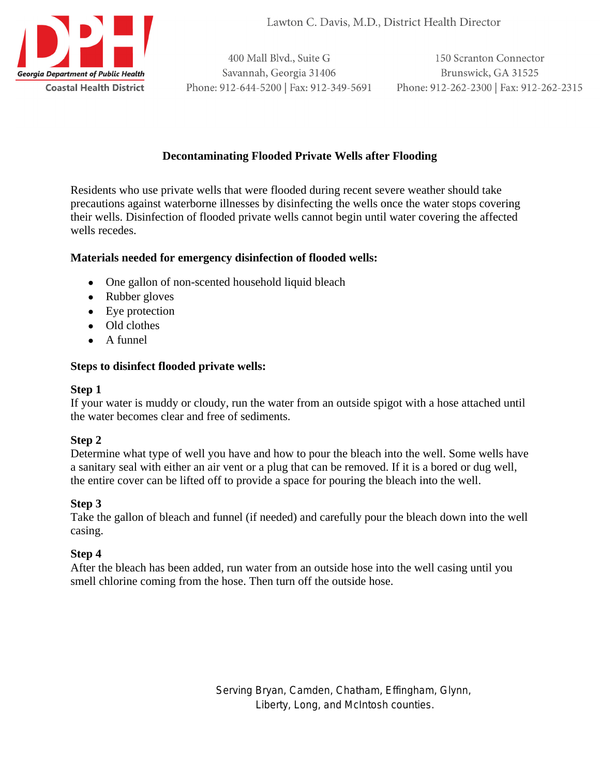

Lawton C. Davis, M.D., District Health Director

400 Mall Blvd., Suite G Savannah, Georgia 31406 Phone: 912-644-5200 | Fax: 912-349-5691

150 Scranton Connector Brunswick, GA 31525 Phone: 912-262-2300 | Fax: 912-262-2315

# **Decontaminating Flooded Private Wells after Flooding**

Residents who use private wells that were flooded during recent severe weather should take precautions against waterborne illnesses by disinfecting the wells once the water stops covering their wells. Disinfection of flooded private wells cannot begin until water covering the affected wells recedes.

## **Materials needed for emergency disinfection of flooded wells:**

- One gallon of non-scented household liquid bleach
- Rubber gloves
- Eye protection
- Old clothes
- A funnel

## **Steps to disinfect flooded private wells:**

### **Step 1**

If your water is muddy or cloudy, run the water from an outside spigot with a hose attached until the water becomes clear and free of sediments.

# **Step 2**

Determine what type of well you have and how to pour the bleach into the well. Some wells have a sanitary seal with either an air vent or a plug that can be removed. If it is a bored or dug well, the entire cover can be lifted off to provide a space for pouring the bleach into the well.

### **Step 3**

Take the gallon of bleach and funnel (if needed) and carefully pour the bleach down into the well casing.

# **Step 4**

After the bleach has been added, run water from an outside hose into the well casing until you smell chlorine coming from the hose. Then turn off the outside hose.

> Serving Bryan, Camden, Chatham, Effingham, Glynn, Liberty, Long, and McIntosh counties.